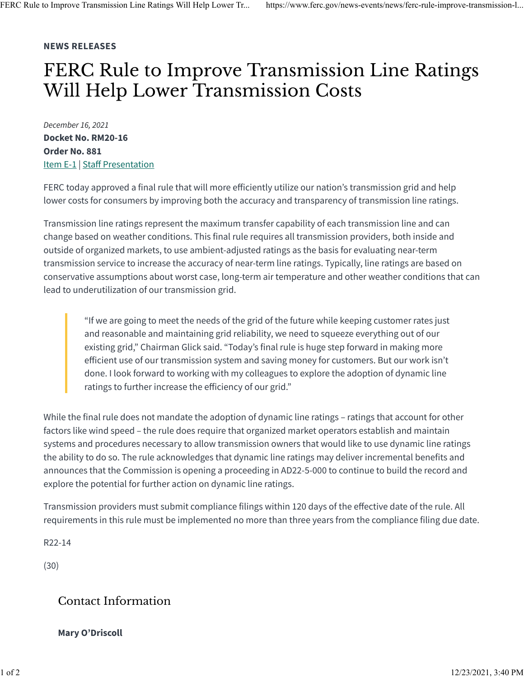## **NEWS RELEASES**

## FERC Rule to Improve Transmission Line Ratings Will Help Lower Transmission Costs

*December 16, 2021* **Docket No. RM20-16 Order No. 881** [Item E-1](https://www.ferc.gov/media/e-1-rm20-16-000) | Staff [Presentation](https://www.ferc.gov/news-events/news/staff-presentation-draft-final-order-regarding-managing-transmission-line-ratings)

FERC today approved a final rule that will more efficiently utilize our nation's transmission grid and help lower costs for consumers by improving both the accuracy and transparency of transmission line ratings.

Transmission line ratings represent the maximum transfer capability of each transmission line and can change based on weather conditions. This final rule requires all transmission providers, both inside and outside of organized markets, to use ambient-adjusted ratings as the basis for evaluating near-term transmission service to increase the accuracy of near-term line ratings. Typically, line ratings are based on conservative assumptions about worst case, long-term air temperature and other weather conditions that can lead to underutilization of our transmission grid.

"If we are going to meet the needs of the grid of the future while keeping customer rates just and reasonable and maintaining grid reliability, we need to squeeze everything out of our existing grid," Chairman Glick said. "Today's final rule is huge step forward in making more efficient use of our transmission system and saving money for customers. But our work isn't done. I look forward to working with my colleagues to explore the adoption of dynamic line ratings to further increase the efficiency of our grid."

While the final rule does not mandate the adoption of dynamic line ratings – ratings that account for other factors like wind speed – the rule does require that organized market operators establish and maintain systems and procedures necessary to allow transmission owners that would like to use dynamic line ratings the ability to do so. The rule acknowledges that dynamic line ratings may deliver incremental benefits and announces that the Commission is opening a proceeding in AD22-5-000 to continue to build the record and explore the potential for further action on dynamic line ratings.

Transmission providers must submit compliance filings within 120 days of the effective date of the rule. All requirements in this rule must be implemented no more than three years from the compliance filing due date.

R22-14

(30)

## Contact Information

## **Mary O'Driscoll**